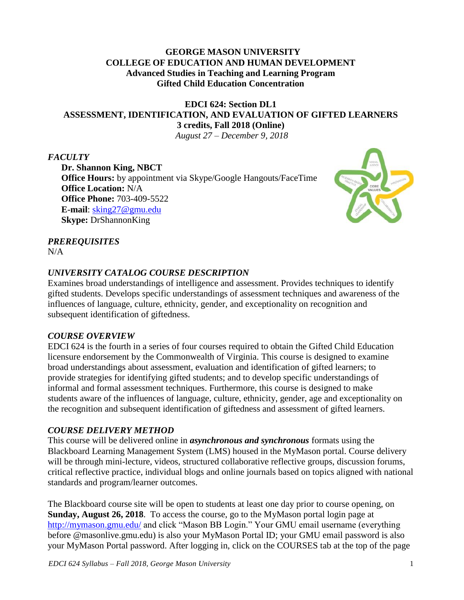#### **GEORGE MASON UNIVERSITY COLLEGE OF EDUCATION AND HUMAN DEVELOPMENT Advanced Studies in Teaching and Learning Program Gifted Child Education Concentration**

# **EDCI 624: Section DL1 ASSESSMENT, IDENTIFICATION, AND EVALUATION OF GIFTED LEARNERS 3 credits, Fall 2018 (Online)**

*August 27 – December 9, 2018*

## *FACULTY*

**Dr. Shannon King, NBCT Office Hours:** by appointment via Skype/Google Hangouts/FaceTime **Office Location:** N/A **Office Phone:** 703-409-5522 **E-mail**: [sking27@gmu.edu](mailto:sking27@gmu.edu) **Skype:** DrShannonKing



# *PREREQUISITES*

 $N/A$ 

## *UNIVERSITY CATALOG COURSE DESCRIPTION*

Examines broad understandings of intelligence and assessment. Provides techniques to identify gifted students. Develops specific understandings of assessment techniques and awareness of the influences of language, culture, ethnicity, gender, and exceptionality on recognition and subsequent identification of giftedness.

#### *COURSE OVERVIEW*

EDCI 624 is the fourth in a series of four courses required to obtain the Gifted Child Education licensure endorsement by the Commonwealth of Virginia. This course is designed to examine broad understandings about assessment, evaluation and identification of gifted learners; to provide strategies for identifying gifted students; and to develop specific understandings of informal and formal assessment techniques. Furthermore, this course is designed to make students aware of the influences of language, culture, ethnicity, gender, age and exceptionality on the recognition and subsequent identification of giftedness and assessment of gifted learners.

#### *COURSE DELIVERY METHOD*

This course will be delivered online in *asynchronous and synchronous* formats using the Blackboard Learning Management System (LMS) housed in the MyMason portal. Course delivery will be through mini-lecture, videos, structured collaborative reflective groups, discussion forums, critical reflective practice, individual blogs and online journals based on topics aligned with national standards and program/learner outcomes.

The Blackboard course site will be open to students at least one day prior to course opening, on **Sunday, August 26, 2018**. To access the course, go to the MyMason portal login page at <http://mymason.gmu.edu/> and click "Mason BB Login." Your GMU email username (everything before @masonlive.gmu.edu) is also your MyMason Portal ID; your GMU email password is also your MyMason Portal password. After logging in, click on the COURSES tab at the top of the page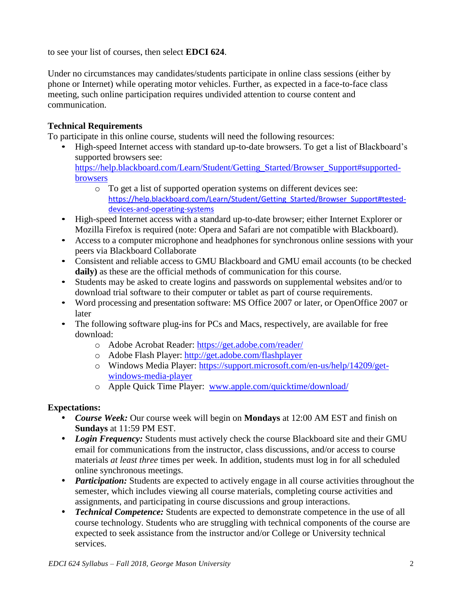to see your list of courses, then select **EDCI 624**.

Under no circumstances may candidates/students participate in online class sessions (either by phone or Internet) while operating motor vehicles. Further, as expected in a face-to-face class meeting, such online participation requires undivided attention to course content and communication.

#### **Technical Requirements**

To participate in this online course, students will need the following resources:

- High-speed Internet access with standard up-to-date browsers. To get a list of Blackboard's supported browsers see: [https://help.blackboard.com/Learn/Student/Getting\\_Started/Browser\\_Support#supported](https://help.blackboard.com/Learn/Student/Getting_Started/Browser_Support#supported-browsers)[browsers](https://help.blackboard.com/Learn/Student/Getting_Started/Browser_Support#supported-browsers)
	- o To get a list of supported operation systems on different devices see: [https://help.blackboard.com/Learn/Student/Getting\\_Started/Browser\\_Support#tested](https://help.blackboard.com/Learn/Student/Getting_Started/Browser_Support#tested-devices-and-operating-systems)[devices-and-operating-systems](https://help.blackboard.com/Learn/Student/Getting_Started/Browser_Support#tested-devices-and-operating-systems)
- High-speed Internet access with a standard up-to-date browser; either Internet Explorer or Mozilla Firefox is required (note: Opera and Safari are not compatible with Blackboard).
- Access to a computer microphone and headphones for synchronous online sessions with your peers via Blackboard Collaborate
- Consistent and reliable access to GMU Blackboard and GMU email accounts (to be checked **daily)** as these are the official methods of communication for this course.
- Students may be asked to create logins and passwords on supplemental websites and/or to download trial software to their computer or tablet as part of course requirements.
- Word processing and presentation software: MS Office 2007 or later, or OpenOffice 2007 or later
- The following software plug-ins for PCs and Macs, respectively, are available for free download:
	- o Adobe Acrobat Reader:<https://get.adobe.com/reader/>
	- o Adobe Flash Player: <http://get.adobe.com/flashplayer>
	- o Windows Media Player: [https://support.microsoft.com/en-us/help/14209/get](https://support.microsoft.com/en-us/help/14209/get-windows-media-player)[windows-media-player](https://support.microsoft.com/en-us/help/14209/get-windows-media-player)
	- o Apple Quick Time Player: [www.apple.com/quicktime/download/](http://www.apple.com/quicktime/download/)

#### **Expectations:**

- *Course Week:* Our course week will begin on **Mondays** at 12:00 AM EST and finish on **Sundays** at 11:59 PM EST.
- *Login Frequency:* Students must actively check the course Blackboard site and their GMU email for communications from the instructor, class discussions, and/or access to course materials *at least three* times per week. In addition, students must log in for all scheduled online synchronous meetings.
- *Participation:* Students are expected to actively engage in all course activities throughout the semester, which includes viewing all course materials, completing course activities and assignments, and participating in course discussions and group interactions.
- *Technical Competence:* Students are expected to demonstrate competence in the use of all course technology. Students who are struggling with technical components of the course are expected to seek assistance from the instructor and/or College or University technical services.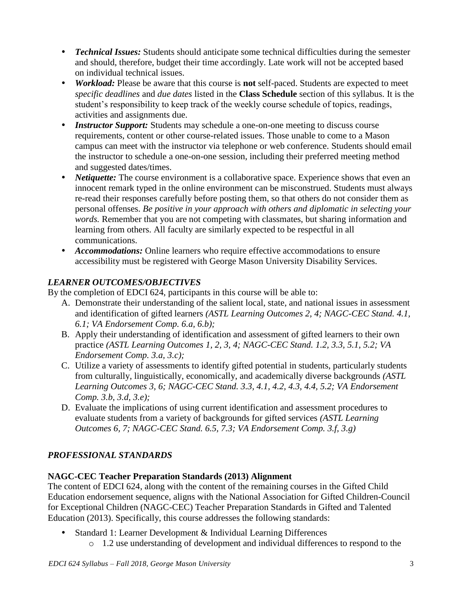- *Technical Issues:* Students should anticipate some technical difficulties during the semester and should, therefore, budget their time accordingly. Late work will not be accepted based on individual technical issues.
- *Workload:* Please be aware that this course is **not** self-paced. Students are expected to meet *specific deadlines* and *due dates* listed in the **Class Schedule** section of this syllabus. It is the student's responsibility to keep track of the weekly course schedule of topics, readings, activities and assignments due.
- *Instructor Support:* Students may schedule a one-on-one meeting to discuss course requirements, content or other course-related issues. Those unable to come to a Mason campus can meet with the instructor via telephone or web conference. Students should email the instructor to schedule a one-on-one session, including their preferred meeting method and suggested dates/times.
- *Netiquette:* The course environment is a collaborative space. Experience shows that even an innocent remark typed in the online environment can be misconstrued. Students must always re-read their responses carefully before posting them, so that others do not consider them as personal offenses. *Be positive in your approach with others and diplomatic in selecting your words.* Remember that you are not competing with classmates, but sharing information and learning from others. All faculty are similarly expected to be respectful in all communications.
- *Accommodations:* Online learners who require effective accommodations to ensure accessibility must be registered with George Mason University Disability Services.

# *LEARNER OUTCOMES/OBJECTIVES*

By the completion of EDCI 624, participants in this course will be able to:

- A. Demonstrate their understanding of the salient local, state, and national issues in assessment and identification of gifted learners *(ASTL Learning Outcomes 2, 4; NAGC-CEC Stand. 4.1, 6.1; VA Endorsement Comp. 6.a, 6.b);*
- B. Apply their understanding of identification and assessment of gifted learners to their own practice *(ASTL Learning Outcomes 1, 2, 3, 4; NAGC-CEC Stand. 1.2, 3.3, 5.1, 5.2; VA Endorsement Comp. 3.a, 3.c);*
- C. Utilize a variety of assessments to identify gifted potential in students, particularly students from culturally, linguistically, economically, and academically diverse backgrounds *(ASTL Learning Outcomes 3, 6; NAGC-CEC Stand. 3.3, 4.1, 4.2, 4.3, 4.4, 5.2; VA Endorsement Comp. 3.b, 3.d, 3.e);*
- D. Evaluate the implications of using current identification and assessment procedures to evaluate students from a variety of backgrounds for gifted services *(ASTL Learning Outcomes 6, 7; NAGC-CEC Stand. 6.5, 7.3; VA Endorsement Comp. 3.f, 3.g)*

# *PROFESSIONAL STANDARDS*

# **NAGC-CEC Teacher Preparation Standards (2013) Alignment**

The content of EDCI 624, along with the content of the remaining courses in the Gifted Child Education endorsement sequence, aligns with the National Association for Gifted Children-Council for Exceptional Children (NAGC-CEC) Teacher Preparation Standards in Gifted and Talented Education (2013). Specifically, this course addresses the following standards:

- Standard 1: Learner Development & Individual Learning Differences
	- o 1.2 use understanding of development and individual differences to respond to the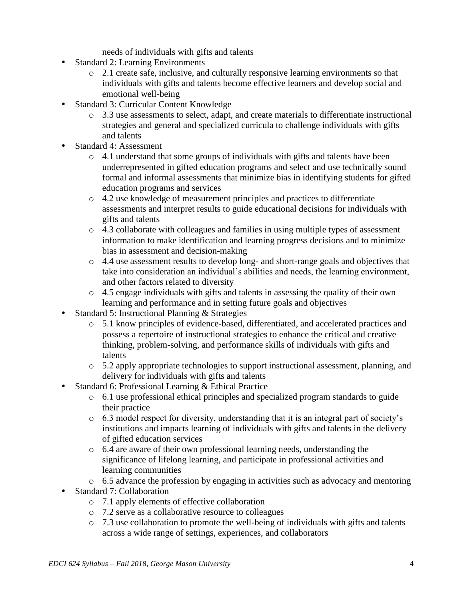needs of individuals with gifts and talents

- Standard 2: Learning Environments
	- o 2.1 create safe, inclusive, and culturally responsive learning environments so that individuals with gifts and talents become effective learners and develop social and emotional well-being
- Standard 3: Curricular Content Knowledge
	- o 3.3 use assessments to select, adapt, and create materials to differentiate instructional strategies and general and specialized curricula to challenge individuals with gifts and talents
- Standard 4: Assessment
	- $\circ$  4.1 understand that some groups of individuals with gifts and talents have been underrepresented in gifted education programs and select and use technically sound formal and informal assessments that minimize bias in identifying students for gifted education programs and services
	- o 4.2 use knowledge of measurement principles and practices to differentiate assessments and interpret results to guide educational decisions for individuals with gifts and talents
	- o 4.3 collaborate with colleagues and families in using multiple types of assessment information to make identification and learning progress decisions and to minimize bias in assessment and decision-making
	- o 4.4 use assessment results to develop long- and short-range goals and objectives that take into consideration an individual's abilities and needs, the learning environment, and other factors related to diversity
	- o 4.5 engage individuals with gifts and talents in assessing the quality of their own learning and performance and in setting future goals and objectives
- Standard 5: Instructional Planning & Strategies
	- o 5.1 know principles of evidence-based, differentiated, and accelerated practices and possess a repertoire of instructional strategies to enhance the critical and creative thinking, problem-solving, and performance skills of individuals with gifts and talents
	- o 5.2 apply appropriate technologies to support instructional assessment, planning, and delivery for individuals with gifts and talents
- Standard 6: Professional Learning & Ethical Practice
	- o 6.1 use professional ethical principles and specialized program standards to guide their practice
	- o 6.3 model respect for diversity, understanding that it is an integral part of society's institutions and impacts learning of individuals with gifts and talents in the delivery of gifted education services
	- o 6.4 are aware of their own professional learning needs, understanding the significance of lifelong learning, and participate in professional activities and learning communities
	- o 6.5 advance the profession by engaging in activities such as advocacy and mentoring
- Standard 7: Collaboration
	- o 7.1 apply elements of effective collaboration
	- o 7.2 serve as a collaborative resource to colleagues
	- o 7.3 use collaboration to promote the well-being of individuals with gifts and talents across a wide range of settings, experiences, and collaborators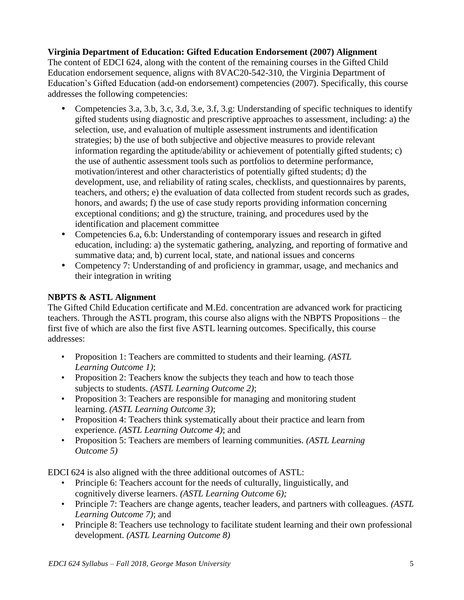## **Virginia Department of Education: Gifted Education Endorsement (2007) Alignment**

The content of EDCI 624, along with the content of the remaining courses in the Gifted Child Education endorsement sequence, aligns with 8VAC20-542-310, the Virginia Department of Education's Gifted Education (add-on endorsement) competencies (2007). Specifically, this course addresses the following competencies:

- Competencies 3.a, 3.b, 3.c, 3.d, 3.e, 3.f, 3.g: Understanding of specific techniques to identify gifted students using diagnostic and prescriptive approaches to assessment, including: a) the selection, use, and evaluation of multiple assessment instruments and identification strategies; b) the use of both subjective and objective measures to provide relevant information regarding the aptitude/ability or achievement of potentially gifted students; c) the use of authentic assessment tools such as portfolios to determine performance, motivation/interest and other characteristics of potentially gifted students; d) the development, use, and reliability of rating scales, checklists, and questionnaires by parents, teachers, and others; e) the evaluation of data collected from student records such as grades, honors, and awards; f) the use of case study reports providing information concerning exceptional conditions; and g) the structure, training, and procedures used by the identification and placement committee
- Competencies 6.a, 6.b: Understanding of contemporary issues and research in gifted education, including: a) the systematic gathering, analyzing, and reporting of formative and summative data; and, b) current local, state, and national issues and concerns
- Competency 7: Understanding of and proficiency in grammar, usage, and mechanics and their integration in writing

#### **NBPTS & ASTL Alignment**

The Gifted Child Education certificate and M.Ed. concentration are advanced work for practicing teachers. Through the ASTL program, this course also aligns with the NBPTS Propositions – the first five of which are also the first five ASTL learning outcomes. Specifically, this course addresses:

- Proposition 1: Teachers are committed to students and their learning. *(ASTL Learning Outcome 1)*;
- Proposition 2: Teachers know the subjects they teach and how to teach those subjects to students. *(ASTL Learning Outcome 2)*;
- Proposition 3: Teachers are responsible for managing and monitoring student learning. *(ASTL Learning Outcome 3)*;
- Proposition 4: Teachers think systematically about their practice and learn from experience. *(ASTL Learning Outcome 4)*; and
- Proposition 5: Teachers are members of learning communities. *(ASTL Learning Outcome 5)*

EDCI 624 is also aligned with the three additional outcomes of ASTL:

- Principle 6: Teachers account for the needs of culturally, linguistically, and cognitively diverse learners. *(ASTL Learning Outcome 6);*
- Principle 7: Teachers are change agents, teacher leaders, and partners with colleagues. *(ASTL Learning Outcome 7)*; and
- Principle 8: Teachers use technology to facilitate student learning and their own professional development. *(ASTL Learning Outcome 8)*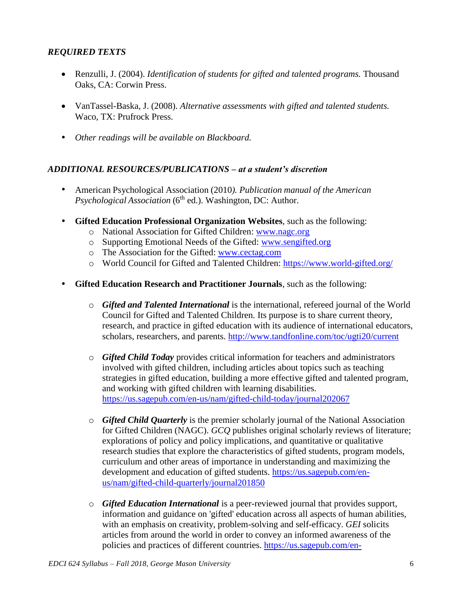# *REQUIRED TEXTS*

- Renzulli, J. (2004). *Identification of students for gifted and talented programs.* Thousand Oaks, CA: Corwin Press.
- VanTassel-Baska, J. (2008). *Alternative assessments with gifted and talented students.* Waco, TX: Prufrock Press.
- *Other readings will be available on Blackboard.*

#### *ADDITIONAL RESOURCES/PUBLICATIONS – at a student's discretion*

- American Psychological Association (2010*). Publication manual of the American* Psychological Association (6<sup>th</sup> ed.). Washington, DC: Author.
- **Gifted Education Professional Organization Websites**, such as the following:
	- o National Association for Gifted Children: [www.nagc.org](http://www.nagc.org/)
	- o Supporting Emotional Needs of the Gifted: [www.sengifted.org](http://www.sengifted.org/)
	- o The Association for the Gifted: [www.cectag.com](http://www.cectag.com/)
	- o World Council for Gifted and Talented Children:<https://www.world-gifted.org/>
- **Gifted Education Research and Practitioner Journals**, such as the following:
	- o *Gifted and Talented International* is the international, refereed journal of the World Council for Gifted and Talented Children. Its purpose is to share current theory, research, and practice in gifted education with its audience of international educators, scholars, researchers, and parents. <http://www.tandfonline.com/toc/ugti20/current>
	- o *Gifted Child Today* provides critical information for teachers and administrators involved with gifted children, including articles about topics such as teaching strategies in gifted education, building a more effective gifted and talented program, and working with gifted children with learning disabilities. <https://us.sagepub.com/en-us/nam/gifted-child-today/journal202067>
	- o *Gifted Child Quarterly* is the premier scholarly journal of the National Association for Gifted Children (NAGC). *GCQ* publishes original scholarly reviews of literature; explorations of policy and policy implications, and quantitative or qualitative research studies that explore the characteristics of gifted students, program models, curriculum and other areas of importance in understanding and maximizing the development and education of gifted students. [https://us.sagepub.com/en](https://us.sagepub.com/en-us/nam/gifted-child-quarterly/journal201850)[us/nam/gifted-child-quarterly/journal201850](https://us.sagepub.com/en-us/nam/gifted-child-quarterly/journal201850)
	- o *Gifted Education International* is a peer-reviewed journal that provides support, information and guidance on 'gifted' education across all aspects of human abilities, with an emphasis on creativity, problem-solving and self-efficacy. *GEI* solicits articles from around the world in order to convey an informed awareness of the policies and practices of different countries. [https://us.sagepub.com/en-](https://us.sagepub.com/en-us/nam/journal/gifted-education-international)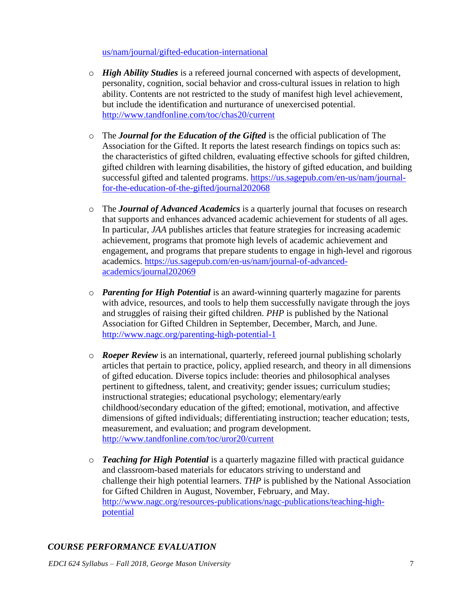[us/nam/journal/gifted-education-international](https://us.sagepub.com/en-us/nam/journal/gifted-education-international)

- o *High Ability Studies* is a refereed journal concerned with aspects of development, personality, cognition, social behavior and cross-cultural issues in relation to high ability. Contents are not restricted to the study of manifest high level achievement, but include the identification and nurturance of unexercised potential. <http://www.tandfonline.com/toc/chas20/current>
- o The *Journal for the Education of the Gifted* is the official publication of The Association for the Gifted. It reports the latest research findings on topics such as: the characteristics of gifted children, evaluating effective schools for gifted children, gifted children with learning disabilities, the history of gifted education, and building successful gifted and talented programs. [https://us.sagepub.com/en-us/nam/journal](https://us.sagepub.com/en-us/nam/journal-for-the-education-of-the-gifted/journal202068)[for-the-education-of-the-gifted/journal202068](https://us.sagepub.com/en-us/nam/journal-for-the-education-of-the-gifted/journal202068)
- o The *Journal of Advanced Academics* is a quarterly journal that focuses on research that supports and enhances advanced academic achievement for students of all ages. In particular, *JAA* publishes articles that feature strategies for increasing academic achievement, programs that promote high levels of academic achievement and engagement, and programs that prepare students to engage in high-level and rigorous academics. [https://us.sagepub.com/en-us/nam/journal-of-advanced](https://us.sagepub.com/en-us/nam/journal-of-advanced-academics/journal202069)[academics/journal202069](https://us.sagepub.com/en-us/nam/journal-of-advanced-academics/journal202069)
- o *Parenting for High Potential* is an award-winning quarterly magazine for parents with advice, resources, and tools to help them successfully navigate through the joys and struggles of raising their gifted children. *PHP* is published by the National Association for Gifted Children in September, December, March, and June. <http://www.nagc.org/parenting-high-potential-1>
- o *Roeper Review* is an international, quarterly, refereed journal publishing scholarly articles that pertain to practice, policy, applied research, and theory in all dimensions of gifted education. Diverse topics include: theories and philosophical analyses pertinent to giftedness, talent, and creativity; gender issues; curriculum studies; instructional strategies; educational psychology; elementary/early childhood/secondary education of the gifted; emotional, motivation, and affective dimensions of gifted individuals; differentiating instruction; teacher education; tests, measurement, and evaluation; and program development. <http://www.tandfonline.com/toc/uror20/current>
- o *Teaching for High Potential* is a quarterly magazine filled with practical guidance and classroom-based materials for educators striving to understand and challenge their high potential learners. *THP* is published by the National Association for Gifted Children in August, November, February, and May. [http://www.nagc.org/resources-publications/nagc-publications/teaching-high](http://www.nagc.org/resources-publications/nagc-publications/teaching-high-potential)[potential](http://www.nagc.org/resources-publications/nagc-publications/teaching-high-potential)

# *COURSE PERFORMANCE EVALUATION*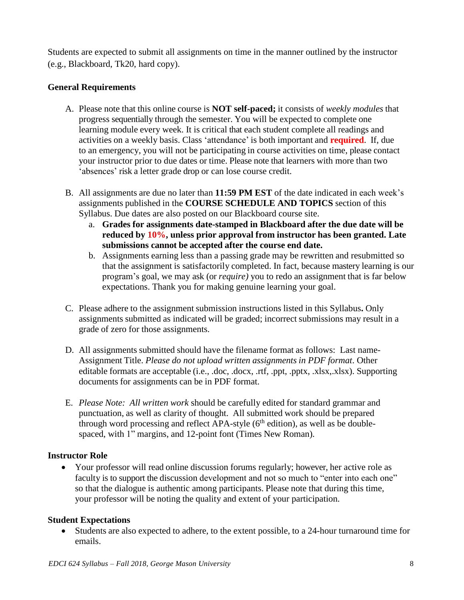Students are expected to submit all assignments on time in the manner outlined by the instructor (e.g., Blackboard, Tk20, hard copy).

#### **General Requirements**

- A. Please note that this online course is **NOT self-paced;** it consists of *weekly modules* that progress sequentially through the semester. You will be expected to complete one learning module every week. It is critical that each student complete all readings and activities on a weekly basis. Class 'attendance' is both important and **required**. If, due to an emergency, you will not be participating in course activities on time, please contact your instructor prior to due dates or time. Please note that learners with more than two 'absences' risk a letter grade drop or can lose course credit.
- B. All assignments are due no later than **11:59 PM EST** of the date indicated in each week's assignments published in the **COURSE SCHEDULE AND TOPICS** section of this Syllabus. Due dates are also posted on our Blackboard course site.
	- a. **Grades for assignments date-stamped in Blackboard after the due date will be reduced by 10%, unless prior approval from instructor has been granted. Late submissions cannot be accepted after the course end date.**
	- b. Assignments earning less than a passing grade may be rewritten and resubmitted so that the assignment is satisfactorily completed. In fact, because mastery learning is our program's goal, we may ask (or *require)* you to redo an assignment that is far below expectations. Thank you for making genuine learning your goal.
- C. Please adhere to the assignment submission instructions listed in this Syllabus**.** Only assignments submitted as indicated will be graded; incorrect submissions may result in a grade of zero for those assignments.
- D. All assignments submitted should have the filename format as follows: Last name-Assignment Title. *Please do not upload written assignments in PDF format*. Other editable formats are acceptable (i.e., .doc, .docx, .rtf, .ppt, .pptx, .xlsx,.xlsx). Supporting documents for assignments can be in PDF format.
- E. *Please Note: All written work* should be carefully edited for standard grammar and punctuation, as well as clarity of thought. All submitted work should be prepared through word processing and reflect  $APA$ -style ( $6<sup>th</sup>$  edition), as well as be doublespaced, with 1" margins, and 12-point font (Times New Roman).

#### **Instructor Role**

 Your professor will read online discussion forums regularly; however, her active role as faculty is to support the discussion development and not so much to "enter into each one" so that the dialogue is authentic among participants. Please note that during this time, your professor will be noting the quality and extent of your participation.

#### **Student Expectations**

 Students are also expected to adhere, to the extent possible, to a 24-hour turnaround time for emails.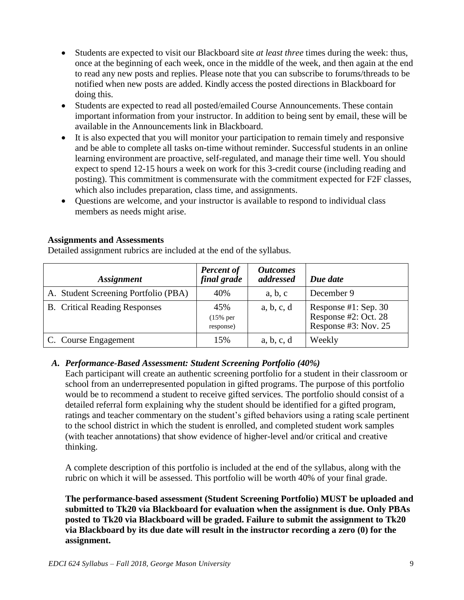- Students are expected to visit our Blackboard site *at least three* times during the week: thus, once at the beginning of each week, once in the middle of the week, and then again at the end to read any new posts and replies. Please note that you can subscribe to forums/threads to be notified when new posts are added. Kindly access the posted directions in Blackboard for doing this.
- Students are expected to read all posted/emailed Course Announcements. These contain important information from your instructor. In addition to being sent by email, these will be available in the Announcements link in Blackboard.
- It is also expected that you will monitor your participation to remain timely and responsive and be able to complete all tasks on-time without reminder. Successful students in an online learning environment are proactive, self-regulated, and manage their time well. You should expect to spend 12-15 hours a week on work for this 3-credit course (including reading and posting). This commitment is commensurate with the commitment expected for F2F classes, which also includes preparation, class time, and assignments.
- Questions are welcome, and your instructor is available to respond to individual class members as needs might arise.

#### **Assignments and Assessments**

Detailed assignment rubrics are included at the end of the syllabus.

| <i><b>Assignment</b></i>             | <b>Percent of</b><br>final grade | <b>Outcomes</b><br>addressed | Due date                                                             |
|--------------------------------------|----------------------------------|------------------------------|----------------------------------------------------------------------|
| A. Student Screening Portfolio (PBA) | 40%                              | a, b, c                      | December 9                                                           |
| <b>B.</b> Critical Reading Responses | 45%<br>$(15\%$ per<br>response)  | a, b, c, d                   | Response #1: Sep. 30<br>Response #2: Oct. 28<br>Response #3: Nov. 25 |
| C. Course Engagement                 | 15%                              | a, b, c, d                   | Weekly                                                               |

#### *A. Performance-Based Assessment: Student Screening Portfolio (40%)*

Each participant will create an authentic screening portfolio for a student in their classroom or school from an underrepresented population in gifted programs. The purpose of this portfolio would be to recommend a student to receive gifted services. The portfolio should consist of a detailed referral form explaining why the student should be identified for a gifted program, ratings and teacher commentary on the student's gifted behaviors using a rating scale pertinent to the school district in which the student is enrolled, and completed student work samples (with teacher annotations) that show evidence of higher-level and/or critical and creative thinking.

A complete description of this portfolio is included at the end of the syllabus, along with the rubric on which it will be assessed. This portfolio will be worth 40% of your final grade.

**The performance-based assessment (Student Screening Portfolio) MUST be uploaded and submitted to Tk20 via Blackboard for evaluation when the assignment is due. Only PBAs posted to Tk20 via Blackboard will be graded. Failure to submit the assignment to Tk20 via Blackboard by its due date will result in the instructor recording a zero (0) for the assignment.**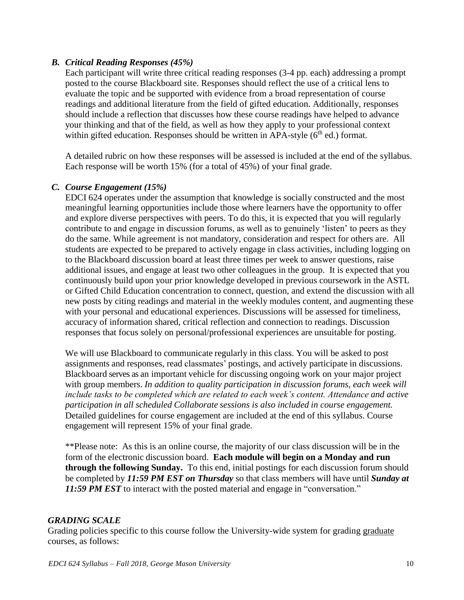#### *B. Critical Reading Responses (45%)*

Each participant will write three critical reading responses (3-4 pp. each) addressing a prompt posted to the course Blackboard site. Responses should reflect the use of a critical lens to evaluate the topic and be supported with evidence from a broad representation of course readings and additional literature from the field of gifted education. Additionally, responses should include a reflection that discusses how these course readings have helped to advance your thinking and that of the field, as well as how they apply to your professional context within gifted education. Responses should be written in APA-style  $(6<sup>th</sup>$  ed.) format.

A detailed rubric on how these responses will be assessed is included at the end of the syllabus. Each response will be worth 15% (for a total of 45%) of your final grade.

#### *C. Course Engagement (15%)*

EDCI 624 operates under the assumption that knowledge is socially constructed and the most meaningful learning opportunities include those where learners have the opportunity to offer and explore diverse perspectives with peers. To do this, it is expected that you will regularly contribute to and engage in discussion forums, as well as to genuinely 'listen' to peers as they do the same. While agreement is not mandatory, consideration and respect for others are. All students are expected to be prepared to actively engage in class activities, including logging on to the Blackboard discussion board at least three times per week to answer questions, raise additional issues, and engage at least two other colleagues in the group. It is expected that you continuously build upon your prior knowledge developed in previous coursework in the ASTL or Gifted Child Education concentration to connect, question, and extend the discussion with all new posts by citing readings and material in the weekly modules content, and augmenting these with your personal and educational experiences. Discussions will be assessed for timeliness, accuracy of information shared, critical reflection and connection to readings. Discussion responses that focus solely on personal/professional experiences are unsuitable for posting.

We will use Blackboard to communicate regularly in this class. You will be asked to post assignments and responses, read classmates' postings, and actively participate in discussions. Blackboard serves as an important vehicle for discussing ongoing work on your major project with group members. *In addition to quality participation in discussion forums, each week will include tasks to be completed which are related to each week's content. Attendance and active participation in all scheduled Collaborate sessions is also included in course engagement.* Detailed guidelines for course engagement are included at the end of this syllabus. Course engagement will represent 15% of your final grade.

\*\*Please note: As this is an online course, the majority of our class discussion will be in the form of the electronic discussion board. **Each module will begin on a Monday and run through the following Sunday.** To this end, initial postings for each discussion forum should be completed by *11:59 PM EST on Thursday* so that class members will have until *Sunday at*  **11:59 PM EST** to interact with the posted material and engage in "conversation."

#### *GRADING SCALE*

Grading policies specific to this course follow the University-wide system for grading graduate courses, as follows: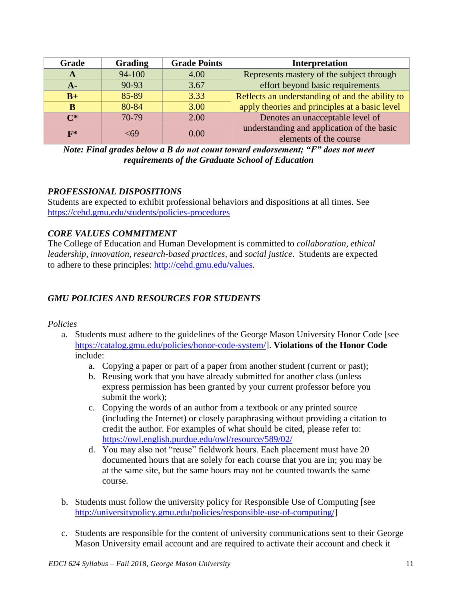| Grade | <b>Grading</b> | <b>Grade Points</b> | Interpretation                                                       |
|-------|----------------|---------------------|----------------------------------------------------------------------|
| A     | 94-100         | 4.00                | Represents mastery of the subject through                            |
| $A-$  | 90-93          | 3.67                | effort beyond basic requirements                                     |
| $B+$  | 85-89          | 3.33                | Reflects an understanding of and the ability to                      |
| В     | 80-84          | 3.00                | apply theories and principles at a basic level                       |
| $C^*$ | 70-79          | 2.00                | Denotes an unacceptable level of                                     |
| $F^*$ | <69            | 0.00                | understanding and application of the basic<br>elements of the course |

*Note: Final grades below a B do not count toward endorsement; "F" does not meet requirements of the Graduate School of Education*

#### *PROFESSIONAL DISPOSITIONS*

Students are expected to exhibit professional behaviors and dispositions at all times. See <https://cehd.gmu.edu/students/policies-procedures>

# *CORE VALUES COMMITMENT*

The College of Education and Human Development is committed to *collaboration, ethical leadership, innovation, research-based practices,* and *social justice*. Students are expected to adhere to these principles: [http://cehd.gmu.edu/values.](http://cehd.gmu.edu/values)

# *GMU POLICIES AND RESOURCES FOR STUDENTS*

*Policies*

- a. Students must adhere to the guidelines of the George Mason University Honor Code [see [https://catalog.gmu.edu/policies/honor-code-system/\]](https://catalog.gmu.edu/policies/honor-code-system/). **Violations of the Honor Code** include:
	- a. Copying a paper or part of a paper from another student (current or past);
	- b. Reusing work that you have already submitted for another class (unless express permission has been granted by your current professor before you submit the work);
	- c. Copying the words of an author from a textbook or any printed source (including the Internet) or closely paraphrasing without providing a citation to credit the author. For examples of what should be cited, please refer to: <https://owl.english.purdue.edu/owl/resource/589/02/>
	- d. You may also not "reuse" fieldwork hours. Each placement must have 20 documented hours that are solely for each course that you are in; you may be at the same site, but the same hours may not be counted towards the same course.
- b. Students must follow the university policy for Responsible Use of Computing [see [http://universitypolicy.gmu.edu/policies/responsible-use-of-computing/\]](http://universitypolicy.gmu.edu/policies/responsible-use-of-computing/)
- c. Students are responsible for the content of university communications sent to their George Mason University email account and are required to activate their account and check it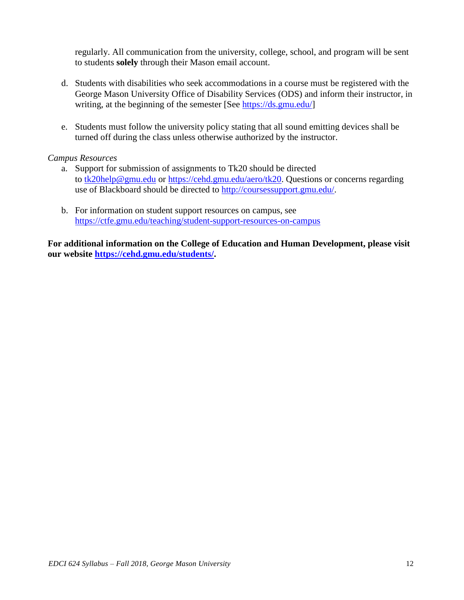regularly. All communication from the university, college, school, and program will be sent to students **solely** through their Mason email account.

- d. Students with disabilities who seek accommodations in a course must be registered with the George Mason University Office of Disability Services (ODS) and inform their instructor, in writing, at the beginning of the semester [See [https://ds.gmu.edu/\]](https://ds.gmu.edu/)
- e. Students must follow the university policy stating that all sound emitting devices shall be turned off during the class unless otherwise authorized by the instructor.

#### *Campus Resources*

- a. Support for submission of assignments to Tk20 should be directed to [tk20help@gmu.edu](mailto:tk20help@gmu.edu) or [https://cehd.gmu.edu/aero/tk20.](https://cehd.gmu.edu/aero/tk20/) Questions or concerns regarding use of Blackboard should be directed to [http://coursessupport.gmu.edu/.](http://coursessupport.gmu.edu/)
- b. For information on student support resources on campus, see <https://ctfe.gmu.edu/teaching/student-support-resources-on-campus>

**For additional information on the College of Education and Human Development, please visit our website [https://cehd.gmu.edu/students/.](https://cehd.gmu.edu/students/)**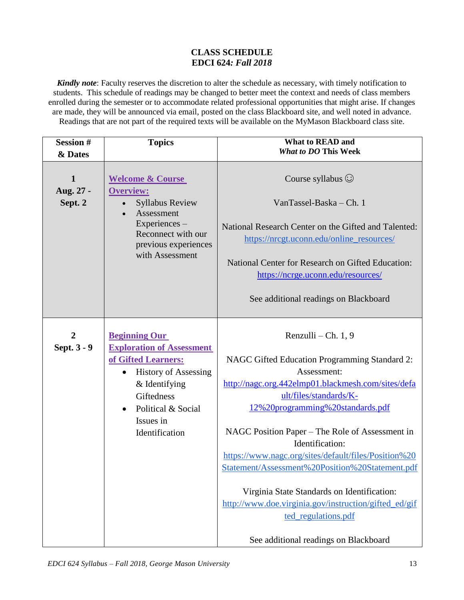#### **CLASS SCHEDULE EDCI 624***: Fall 2018*

*Kindly note*: Faculty reserves the discretion to alter the schedule as necessary, with timely notification to students. This schedule of readings may be changed to better meet the context and needs of class members enrolled during the semester or to accommodate related professional opportunities that might arise. If changes are made, they will be announced via email, posted on the class Blackboard site, and well noted in advance. Readings that are not part of the required texts will be available on the MyMason Blackboard class site.

| <b>Session#</b><br>& Dates      | <b>Topics</b>                                                                                                                                                                                        | <b>What to READ and</b><br><b>What to DO This Week</b>                                                                                                                                                                                                                                                                                                                                                                                                                                                                                                           |
|---------------------------------|------------------------------------------------------------------------------------------------------------------------------------------------------------------------------------------------------|------------------------------------------------------------------------------------------------------------------------------------------------------------------------------------------------------------------------------------------------------------------------------------------------------------------------------------------------------------------------------------------------------------------------------------------------------------------------------------------------------------------------------------------------------------------|
| 1<br>Aug. 27 -<br>Sept. 2       | <b>Welcome &amp; Course</b><br><b>Overview:</b><br><b>Syllabus Review</b><br>Assessment<br>Experiences -<br>Reconnect with our<br>previous experiences<br>with Assessment                            | Course syllabus $\odot$<br>VanTassel-Baska - Ch. 1<br>National Research Center on the Gifted and Talented:<br>https://nrcgt.uconn.edu/online_resources/<br>National Center for Research on Gifted Education:<br>https://ncrge.uconn.edu/resources/<br>See additional readings on Blackboard                                                                                                                                                                                                                                                                      |
| $\boldsymbol{2}$<br>Sept. 3 - 9 | <b>Beginning Our</b><br><b>Exploration of Assessment</b><br>of Gifted Learners:<br><b>History of Assessing</b><br>$&$ Identifying<br>Giftedness<br>Political & Social<br>Issues in<br>Identification | Renzulli – Ch. 1, 9<br>NAGC Gifted Education Programming Standard 2:<br>Assessment:<br>http://nagc.org.442elmp01.blackmesh.com/sites/defa<br>ult/files/standards/K-<br>12%20programming%20standards.pdf<br>NAGC Position Paper – The Role of Assessment in<br>Identification:<br>https://www.nagc.org/sites/default/files/Position%20<br>Statement/Assessment%20Position%20Statement.pdf<br>Virginia State Standards on Identification:<br>http://www.doe.virginia.gov/instruction/gifted_ed/gif<br>ted_regulations.pdf<br>See additional readings on Blackboard |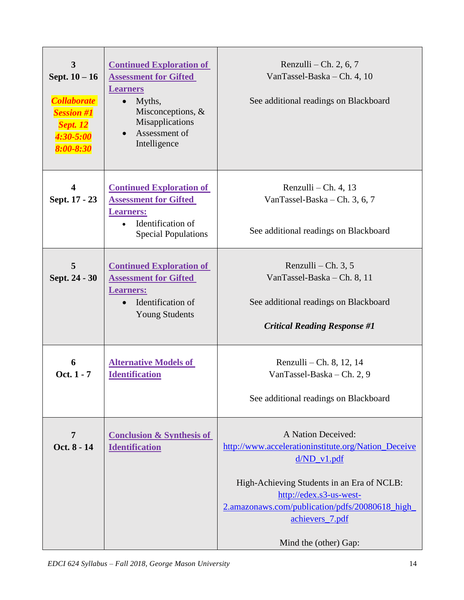| $\overline{\mathbf{3}}$<br>Sept. $10 - 16$<br><b>Collaborate</b><br><b>Session #1</b><br><b>Sept. 12</b><br>$4:30 - 5:00$<br>$8:00 - 8:30$ | <b>Continued Exploration of</b><br><b>Assessment for Gifted</b><br><b>Learners</b><br>$\bullet$ Myths,<br>Misconceptions, &<br>Misapplications<br>Assessment of<br>Intelligence | Renzulli – Ch. 2, 6, 7<br>VanTassel-Baska - Ch. 4, 10<br>See additional readings on Blackboard                                                                                                                                                                     |
|--------------------------------------------------------------------------------------------------------------------------------------------|---------------------------------------------------------------------------------------------------------------------------------------------------------------------------------|--------------------------------------------------------------------------------------------------------------------------------------------------------------------------------------------------------------------------------------------------------------------|
| $\overline{\mathbf{4}}$<br>Sept. 17 - 23                                                                                                   | <b>Continued Exploration of</b><br><b>Assessment for Gifted</b><br><b>Learners:</b><br>Identification of<br><b>Special Populations</b>                                          | Renzulli – Ch. 4, 13<br>VanTassel-Baska – Ch. 3, 6, 7<br>See additional readings on Blackboard                                                                                                                                                                     |
| 5<br>Sept. 24 - 30                                                                                                                         | <b>Continued Exploration of</b><br><b>Assessment for Gifted</b><br><b>Learners:</b><br>Identification of<br><b>Young Students</b>                                               | Renzulli – Ch. $3, 5$<br>VanTassel-Baska - Ch. 8, 11<br>See additional readings on Blackboard<br><b>Critical Reading Response #1</b>                                                                                                                               |
| 6<br>Oct. 1 - 7                                                                                                                            | <b>Alternative Models of</b><br><b>Identification</b>                                                                                                                           | Renzulli – Ch. 8, 12, 14<br>VanTassel-Baska - Ch. 2, 9<br>See additional readings on Blackboard                                                                                                                                                                    |
| 7<br>Oct. 8 - 14                                                                                                                           | <b>Conclusion &amp; Synthesis of</b><br><b>Identification</b>                                                                                                                   | A Nation Deceived:<br>http://www.accelerationinstitute.org/Nation_Deceive<br>$d/ND_v1.pdf$<br>High-Achieving Students in an Era of NCLB:<br>http://edex.s3-us-west-<br>2.amazonaws.com/publication/pdfs/20080618_high_<br>achievers_7.pdf<br>Mind the (other) Gap: |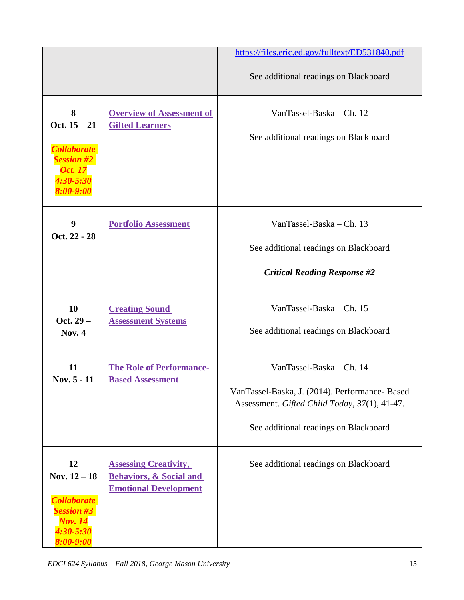|                                                                                                             |                                                                                                    | https://files.eric.ed.gov/fulltext/ED531840.pdf                                                 |
|-------------------------------------------------------------------------------------------------------------|----------------------------------------------------------------------------------------------------|-------------------------------------------------------------------------------------------------|
|                                                                                                             |                                                                                                    | See additional readings on Blackboard                                                           |
| 8<br>Oct. $15 - 21$                                                                                         | <b>Overview of Assessment of</b><br><b>Gifted Learners</b>                                         | VanTassel-Baska - Ch. 12                                                                        |
| <b>Collaborate</b><br><b>Session #2</b><br><b>Oct.</b> 17<br>4:30-5:30<br>$8:00 - 9:00$                     |                                                                                                    | See additional readings on Blackboard                                                           |
| 9<br>Oct. 22 - 28                                                                                           | <b>Portfolio Assessment</b>                                                                        | VanTassel-Baska - Ch. 13                                                                        |
|                                                                                                             |                                                                                                    | See additional readings on Blackboard                                                           |
|                                                                                                             |                                                                                                    | <b>Critical Reading Response #2</b>                                                             |
| 10                                                                                                          | <b>Creating Sound</b>                                                                              | VanTassel-Baska - Ch. 15                                                                        |
| Oct. $29-$<br><b>Nov. 4</b>                                                                                 | <b>Assessment Systems</b>                                                                          | See additional readings on Blackboard                                                           |
| 11                                                                                                          | <b>The Role of Performance-</b>                                                                    | VanTassel-Baska - Ch. 14                                                                        |
| Nov. 5 - 11                                                                                                 | <b>Based Assessment</b>                                                                            | VanTassel-Baska, J. (2014). Performance- Based<br>Assessment. Gifted Child Today, 37(1), 41-47. |
|                                                                                                             |                                                                                                    | See additional readings on Blackboard                                                           |
| 12<br>Nov. $12 - 18$<br><b>Collaborate</b><br><b>Session #3</b><br><b>Nov. 14</b><br>4:30-5:30<br>8:00-9:00 | <b>Assessing Creativity,</b><br><b>Behaviors, &amp; Social and</b><br><b>Emotional Development</b> | See additional readings on Blackboard                                                           |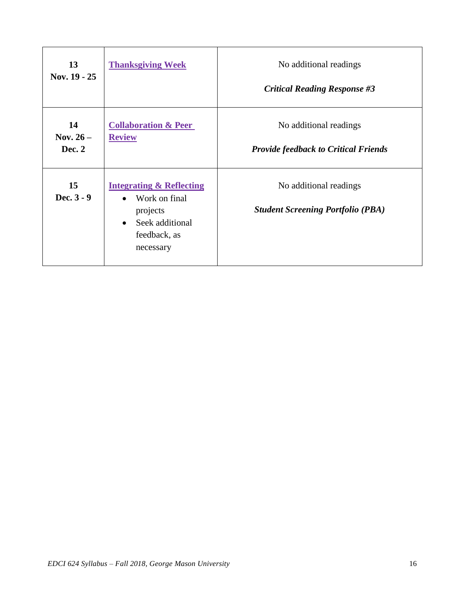| 13<br>Nov. 19 - 25         | <b>Thanksgiving Week</b>                                                                                                                   | No additional readings<br><b>Critical Reading Response #3</b>         |
|----------------------------|--------------------------------------------------------------------------------------------------------------------------------------------|-----------------------------------------------------------------------|
| 14<br>Nov. $26-$<br>Dec. 2 | <b>Collaboration &amp; Peer</b><br><b>Review</b>                                                                                           | No additional readings<br><b>Provide feedback to Critical Friends</b> |
| 15<br>Dec. $3 - 9$         | <b>Integrating &amp; Reflecting</b><br>Work on final<br>$\bullet$<br>projects<br>Seek additional<br>$\bullet$<br>feedback, as<br>necessary | No additional readings<br><b>Student Screening Portfolio (PBA)</b>    |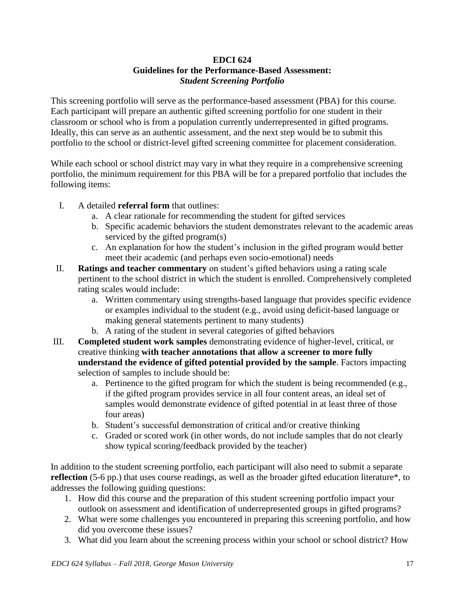#### **EDCI 624 Guidelines for the Performance-Based Assessment:** *Student Screening Portfolio*

This screening portfolio will serve as the performance-based assessment (PBA) for this course. Each participant will prepare an authentic gifted screening portfolio for one student in their classroom or school who is from a population currently underrepresented in gifted programs. Ideally, this can serve as an authentic assessment, and the next step would be to submit this portfolio to the school or district-level gifted screening committee for placement consideration.

While each school or school district may vary in what they require in a comprehensive screening portfolio, the minimum requirement for this PBA will be for a prepared portfolio that includes the following items:

- I. A detailed **referral form** that outlines:
	- a. A clear rationale for recommending the student for gifted services
	- b. Specific academic behaviors the student demonstrates relevant to the academic areas serviced by the gifted program(s)
	- c. An explanation for how the student's inclusion in the gifted program would better meet their academic (and perhaps even socio-emotional) needs
- II. **Ratings and teacher commentary** on student's gifted behaviors using a rating scale pertinent to the school district in which the student is enrolled. Comprehensively completed rating scales would include:
	- a. Written commentary using strengths-based language that provides specific evidence or examples individual to the student (e.g., avoid using deficit-based language or making general statements pertinent to many students)
	- b. A rating of the student in several categories of gifted behaviors
- III. **Completed student work samples** demonstrating evidence of higher-level, critical, or creative thinking **with teacher annotations that allow a screener to more fully understand the evidence of gifted potential provided by the sample**. Factors impacting selection of samples to include should be:
	- a. Pertinence to the gifted program for which the student is being recommended (e.g., if the gifted program provides service in all four content areas, an ideal set of samples would demonstrate evidence of gifted potential in at least three of those four areas)
	- b. Student's successful demonstration of critical and/or creative thinking
	- c. Graded or scored work (in other words, do not include samples that do not clearly show typical scoring/feedback provided by the teacher)

In addition to the student screening portfolio, each participant will also need to submit a separate **reflection** (5-6 pp.) that uses course readings, as well as the broader gifted education literature<sup>\*</sup>, to addresses the following guiding questions:

- 1. How did this course and the preparation of this student screening portfolio impact your outlook on assessment and identification of underrepresented groups in gifted programs?
- 2. What were some challenges you encountered in preparing this screening portfolio, and how did you overcome these issues?
- 3. What did you learn about the screening process within your school or school district? How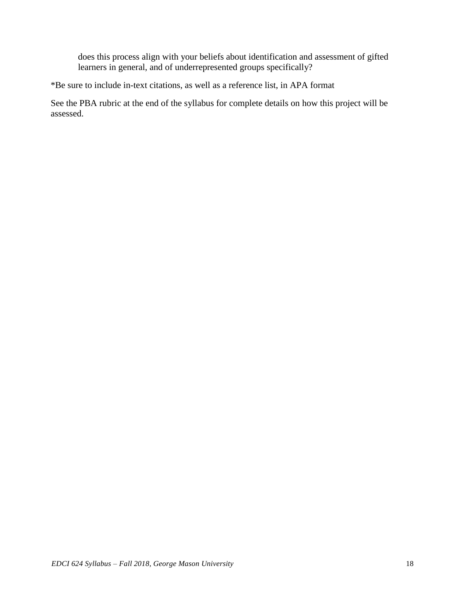does this process align with your beliefs about identification and assessment of gifted learners in general, and of underrepresented groups specifically?

\*Be sure to include in-text citations, as well as a reference list, in APA format

See the PBA rubric at the end of the syllabus for complete details on how this project will be assessed.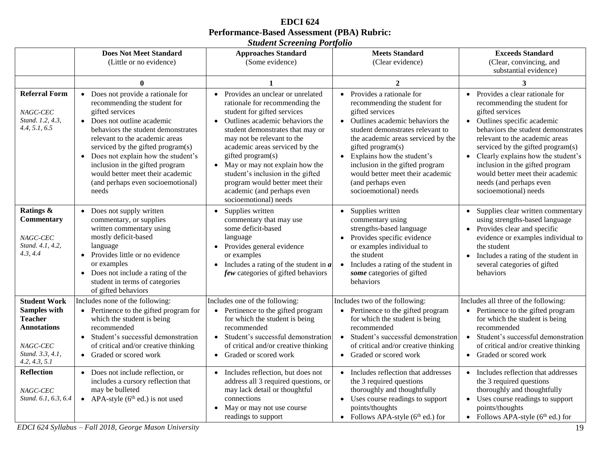| <b>EDCI</b> 624                                   |
|---------------------------------------------------|
| <b>Performance-Based Assessment (PBA) Rubric:</b> |
| <b>Student Screening Portfolio</b>                |

|                                                                                                                                              | <b>Does Not Meet Standard</b><br>(Little or no evidence)                                                                                                                                                                                                                                                                                                                                       | <b>Approaches Standard</b><br>(Some evidence)                                                                                                                                                                                                                                                                                                                                                                                                   | <b>Meets Standard</b><br>(Clear evidence)                                                                                                                                                                                                                                                                                                                                         | <b>Exceeds Standard</b><br>(Clear, convincing, and<br>substantial evidence)                                                                                                                                                                                                                                                                                                                         |
|----------------------------------------------------------------------------------------------------------------------------------------------|------------------------------------------------------------------------------------------------------------------------------------------------------------------------------------------------------------------------------------------------------------------------------------------------------------------------------------------------------------------------------------------------|-------------------------------------------------------------------------------------------------------------------------------------------------------------------------------------------------------------------------------------------------------------------------------------------------------------------------------------------------------------------------------------------------------------------------------------------------|-----------------------------------------------------------------------------------------------------------------------------------------------------------------------------------------------------------------------------------------------------------------------------------------------------------------------------------------------------------------------------------|-----------------------------------------------------------------------------------------------------------------------------------------------------------------------------------------------------------------------------------------------------------------------------------------------------------------------------------------------------------------------------------------------------|
|                                                                                                                                              | $\bf{0}$                                                                                                                                                                                                                                                                                                                                                                                       |                                                                                                                                                                                                                                                                                                                                                                                                                                                 | $\overline{2}$                                                                                                                                                                                                                                                                                                                                                                    | 3                                                                                                                                                                                                                                                                                                                                                                                                   |
| <b>Referral Form</b><br>NAGC-CEC<br>Stand. 1.2, 4.3,<br>4.4, 5.1, 6.5                                                                        | • Does not provide a rationale for<br>recommending the student for<br>gifted services<br>• Does not outline academic<br>behaviors the student demonstrates<br>relevant to the academic areas<br>serviced by the gifted program(s)<br>• Does not explain how the student's<br>inclusion in the gifted program<br>would better meet their academic<br>(and perhaps even socioemotional)<br>needs | • Provides an unclear or unrelated<br>rationale for recommending the<br>student for gifted services<br>• Outlines academic behaviors the<br>student demonstrates that may or<br>may not be relevant to the<br>academic areas serviced by the<br>gifted program(s)<br>May or may not explain how the<br>$\bullet$<br>student's inclusion in the gifted<br>program would better meet their<br>academic (and perhaps even<br>socioemotional) needs | • Provides a rationale for<br>recommending the student for<br>gifted services<br>• Outlines academic behaviors the<br>student demonstrates relevant to<br>the academic areas serviced by the<br>gifted program(s)<br>Explains how the student's<br>$\bullet$<br>inclusion in the gifted program<br>would better meet their academic<br>(and perhaps even<br>socioemotional) needs | • Provides a clear rationale for<br>recommending the student for<br>gifted services<br>• Outlines specific academic<br>behaviors the student demonstrates<br>relevant to the academic areas<br>serviced by the gifted program(s)<br>• Clearly explains how the student's<br>inclusion in the gifted program<br>would better meet their academic<br>needs (and perhaps even<br>socioemotional) needs |
| Ratings &<br><b>Commentary</b><br>NAGC-CEC<br>Stand. 4.1, 4.2,<br>4.3, 4.4                                                                   | • Does not supply written<br>commentary, or supplies<br>written commentary using<br>mostly deficit-based<br>language<br>• Provides little or no evidence<br>or examples<br>• Does not include a rating of the<br>student in terms of categories<br>of gifted behaviors                                                                                                                         | Supplies written<br>$\bullet$<br>commentary that may use<br>some deficit-based<br>language<br>Provides general evidence<br>$\bullet$<br>or examples<br>• Includes a rating of the student in $\boldsymbol{a}$<br>few categories of gifted behaviors                                                                                                                                                                                             | Supplies written<br>commentary using<br>strengths-based language<br>Provides specific evidence<br>or examples individual to<br>the student<br>Includes a rating of the student in<br>$\bullet$<br>some categories of gifted<br>behaviors                                                                                                                                          | • Supplies clear written commentary<br>using strengths-based language<br>• Provides clear and specific<br>evidence or examples individual to<br>the student<br>Includes a rating of the student in<br>$\bullet$<br>several categories of gifted<br>behaviors                                                                                                                                        |
| <b>Student Work</b><br><b>Samples with</b><br><b>Teacher</b><br><b>Annotations</b><br>$NAGC\text{-}CEC$<br>Stand. 3.3, 4.1.<br>4.2, 4.3, 5.1 | Includes none of the following:<br>• Pertinence to the gifted program for<br>which the student is being<br>recommended<br>· Student's successful demonstration<br>of critical and/or creative thinking<br>• Graded or scored work                                                                                                                                                              | Includes one of the following:<br>• Pertinence to the gifted program<br>for which the student is being<br>recommended<br>· Student's successful demonstration<br>of critical and/or creative thinking<br>Graded or scored work<br>$\bullet$                                                                                                                                                                                                     | Includes two of the following:<br>• Pertinence to the gifted program<br>for which the student is being<br>recommended<br>Student's successful demonstration<br>$\bullet$<br>of critical and/or creative thinking<br>Graded or scored work                                                                                                                                         | Includes all three of the following:<br>• Pertinence to the gifted program<br>for which the student is being<br>recommended<br>· Student's successful demonstration<br>of critical and/or creative thinking<br>Graded or scored work<br>$\bullet$                                                                                                                                                   |
| <b>Reflection</b><br>NAGC-CEC<br>Stand. 6.1, 6.3, 6.4                                                                                        | • Does not include reflection, or<br>includes a cursory reflection that<br>may be bulleted<br>• APA-style $(6^{th}$ ed.) is not used<br>EDCI 624 Syllabus - Fall 2018, George Mason University                                                                                                                                                                                                 | • Includes reflection, but does not<br>address all 3 required questions, or<br>may lack detail or thoughtful<br>connections<br>• May or may not use course<br>readings to support                                                                                                                                                                                                                                                               | Includes reflection that addresses<br>$\bullet$<br>the 3 required questions<br>thoroughly and thoughtfully<br>• Uses course readings to support<br>points/thoughts<br>Follows APA-style $(6th$ ed.) for                                                                                                                                                                           | • Includes reflection that addresses<br>the 3 required questions<br>thoroughly and thoughtfully<br>• Uses course readings to support<br>points/thoughts<br>• Follows APA-style $(6th$ ed.) for<br>19                                                                                                                                                                                                |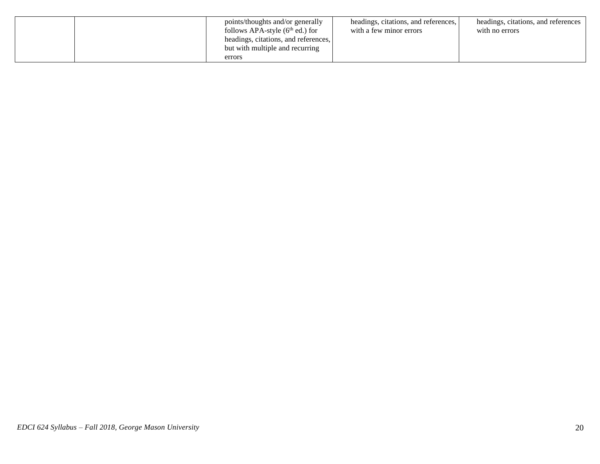| points/thoughts and/or generally<br>follows APA-style $(6th$ ed.) for<br>headings, citations, and references,<br>but with multiple and recurring<br>errors | headings, citations, and references,<br>with a few minor errors | headings, citations, and references<br>with no errors |
|------------------------------------------------------------------------------------------------------------------------------------------------------------|-----------------------------------------------------------------|-------------------------------------------------------|
|------------------------------------------------------------------------------------------------------------------------------------------------------------|-----------------------------------------------------------------|-------------------------------------------------------|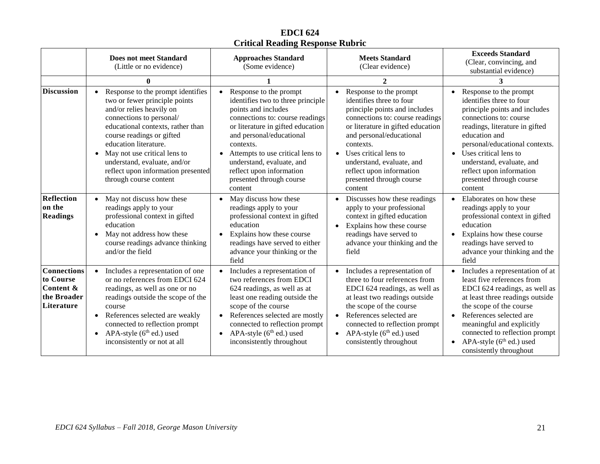# **EDCI 624 Critical Reading Response Rubric**

|                                                                           | <b>Does not meet Standard</b><br>(Little or no evidence)                                                                                                                                                                                                                                                                                                           | <b>Approaches Standard</b><br>(Some evidence)                                                                                                                                                                                                                                                                                           | <b>Meets Standard</b><br>(Clear evidence)                                                                                                                                                                                                                                                                                       | <b>Exceeds Standard</b><br>(Clear, convincing, and<br>substantial evidence)                                                                                                                                                                                                                                                              |
|---------------------------------------------------------------------------|--------------------------------------------------------------------------------------------------------------------------------------------------------------------------------------------------------------------------------------------------------------------------------------------------------------------------------------------------------------------|-----------------------------------------------------------------------------------------------------------------------------------------------------------------------------------------------------------------------------------------------------------------------------------------------------------------------------------------|---------------------------------------------------------------------------------------------------------------------------------------------------------------------------------------------------------------------------------------------------------------------------------------------------------------------------------|------------------------------------------------------------------------------------------------------------------------------------------------------------------------------------------------------------------------------------------------------------------------------------------------------------------------------------------|
|                                                                           | $\mathbf{0}$                                                                                                                                                                                                                                                                                                                                                       |                                                                                                                                                                                                                                                                                                                                         | $\mathcal{D}_{\mathcal{L}}$                                                                                                                                                                                                                                                                                                     | 3                                                                                                                                                                                                                                                                                                                                        |
| <b>Discussion</b>                                                         | Response to the prompt identifies<br>two or fewer principle points<br>and/or relies heavily on<br>connections to personal/<br>educational contexts, rather than<br>course readings or gifted<br>education literature.<br>May not use critical lens to<br>$\bullet$<br>understand, evaluate, and/or<br>reflect upon information presented<br>through course content | Response to the prompt<br>identifies two to three principle<br>points and includes<br>connections to: course readings<br>or literature in gifted education<br>and personal/educational<br>contexts.<br>Attempts to use critical lens to<br>understand, evaluate, and<br>reflect upon information<br>presented through course<br>content | Response to the prompt<br>identifies three to four<br>principle points and includes<br>connections to: course readings<br>or literature in gifted education<br>and personal/educational<br>contexts.<br>• Uses critical lens to<br>understand, evaluate, and<br>reflect upon information<br>presented through course<br>content | Response to the prompt<br>identifies three to four<br>principle points and includes<br>connections to: course<br>readings, literature in gifted<br>education and<br>personal/educational contexts.<br>Uses critical lens to<br>$\bullet$<br>understand, evaluate, and<br>reflect upon information<br>presented through course<br>content |
| <b>Reflection</b><br>on the<br><b>Readings</b>                            | May not discuss how these<br>readings apply to your<br>professional context in gifted<br>education<br>May not address how these<br>$\bullet$<br>course readings advance thinking<br>and/or the field                                                                                                                                                               | May discuss how these<br>readings apply to your<br>professional context in gifted<br>education<br>Explains how these course<br>readings have served to either<br>advance your thinking or the<br>field                                                                                                                                  | Discusses how these readings<br>apply to your professional<br>context in gifted education<br>Explains how these course<br>readings have served to<br>advance your thinking and the<br>field                                                                                                                                     | Elaborates on how these<br>$\bullet$<br>readings apply to your<br>professional context in gifted<br>education<br>Explains how these course<br>$\bullet$<br>readings have served to<br>advance your thinking and the<br>field                                                                                                             |
| <b>Connections</b><br>to Course<br>Content &<br>the Broader<br>Literature | Includes a representation of one<br>$\bullet$<br>or no references from EDCI 624<br>readings, as well as one or no<br>readings outside the scope of the<br>course<br>References selected are weakly<br>$\bullet$<br>connected to reflection prompt<br>APA-style $(6th$ ed.) used<br>$\bullet$<br>inconsistently or not at all                                       | Includes a representation of<br>two references from EDCI<br>624 readings, as well as at<br>least one reading outside the<br>scope of the course<br>References selected are mostly<br>connected to reflection prompt<br>APA-style $(6th$ ed.) used<br>$\bullet$<br>inconsistently throughout                                             | Includes a representation of<br>three to four references from<br>EDCI 624 readings, as well as<br>at least two readings outside<br>the scope of the course<br>References selected are<br>connected to reflection prompt<br>APA-style $(6^{th}$ ed.) used<br>$\bullet$<br>consistently throughout                                | Includes a representation of at<br>least five references from<br>EDCI 624 readings, as well as<br>at least three readings outside<br>the scope of the course<br>References selected are<br>meaningful and explicitly<br>connected to reflection prompt<br>APA-style $(6th$ ed.) used<br>consistently throughout                          |